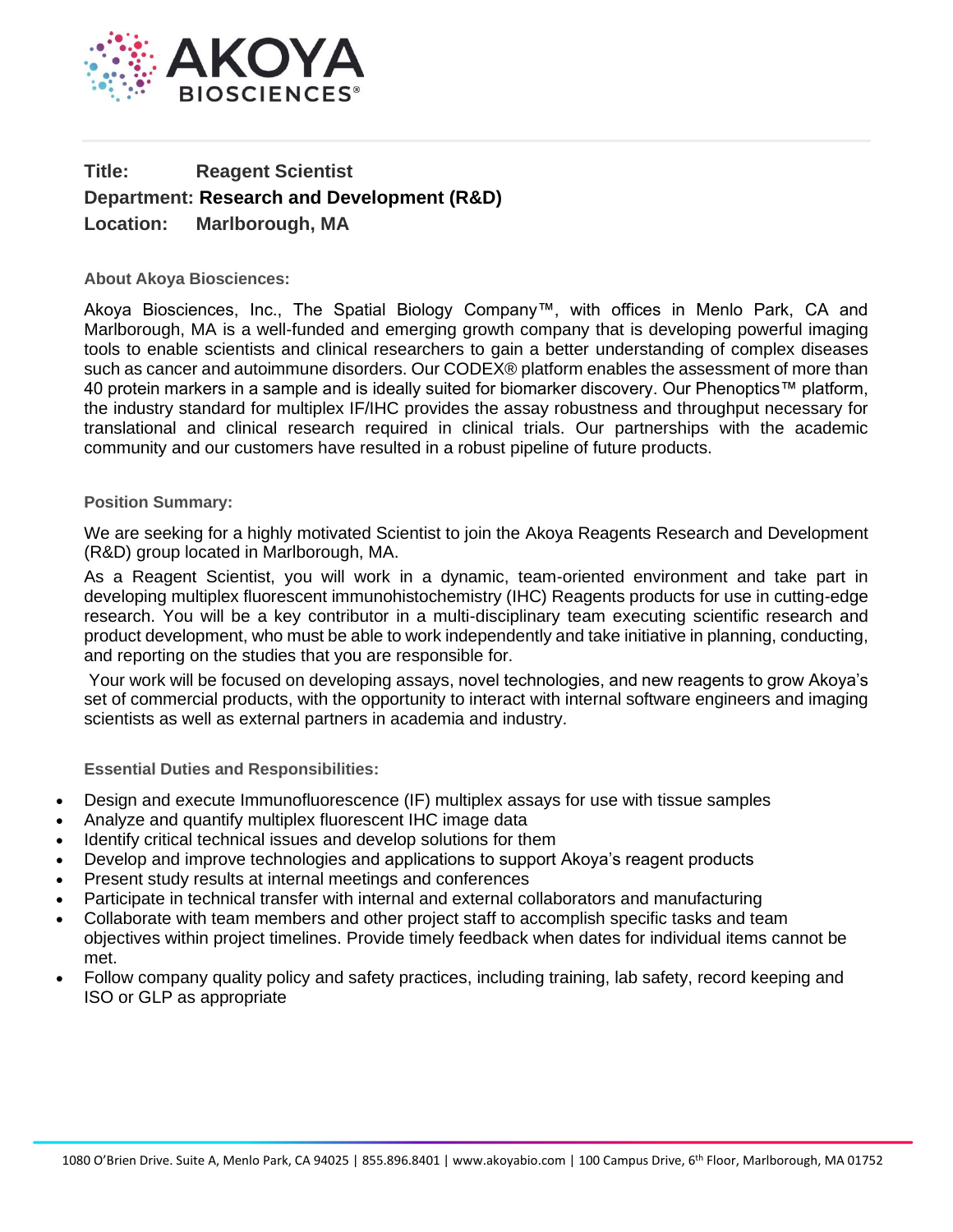

## **Title: Reagent Scientist Department: Research and Development (R&D) Location: Marlborough, MA**

## **About Akoya Biosciences:**

Akoya Biosciences, Inc., The Spatial Biology Company™, with offices in Menlo Park, CA and Marlborough, MA is a well-funded and emerging growth company that is developing powerful imaging tools to enable scientists and clinical researchers to gain a better understanding of complex diseases such as cancer and autoimmune disorders. Our CODEX® platform enables the assessment of more than 40 protein markers in a sample and is ideally suited for biomarker discovery. Our Phenoptics™ platform, the industry standard for multiplex IF/IHC provides the assay robustness and throughput necessary for translational and clinical research required in clinical trials. Our partnerships with the academic community and our customers have resulted in a robust pipeline of future products.

## **Position Summary:**

We are seeking for a highly motivated Scientist to join the Akoya Reagents Research and Development (R&D) group located in Marlborough, MA.

As a Reagent Scientist, you will work in a dynamic, team-oriented environment and take part in developing multiplex fluorescent immunohistochemistry (IHC) Reagents products for use in cutting-edge research. You will be a key contributor in a multi-disciplinary team executing scientific research and product development, who must be able to work independently and take initiative in planning, conducting, and reporting on the studies that you are responsible for.

Your work will be focused on developing assays, novel technologies, and new reagents to grow Akoya's set of commercial products, with the opportunity to interact with internal software engineers and imaging scientists as well as external partners in academia and industry.

**Essential Duties and Responsibilities:**

- Design and execute Immunofluorescence (IF) multiplex assays for use with tissue samples
- Analyze and quantify multiplex fluorescent IHC image data
- Identify critical technical issues and develop solutions for them
- Develop and improve technologies and applications to support Akoya's reagent products
- Present study results at internal meetings and conferences
- Participate in technical transfer with internal and external collaborators and manufacturing
- Collaborate with team members and other project staff to accomplish specific tasks and team objectives within project timelines. Provide timely feedback when dates for individual items cannot be met.
- Follow company quality policy and safety practices, including training, lab safety, record keeping and ISO or GLP as appropriate